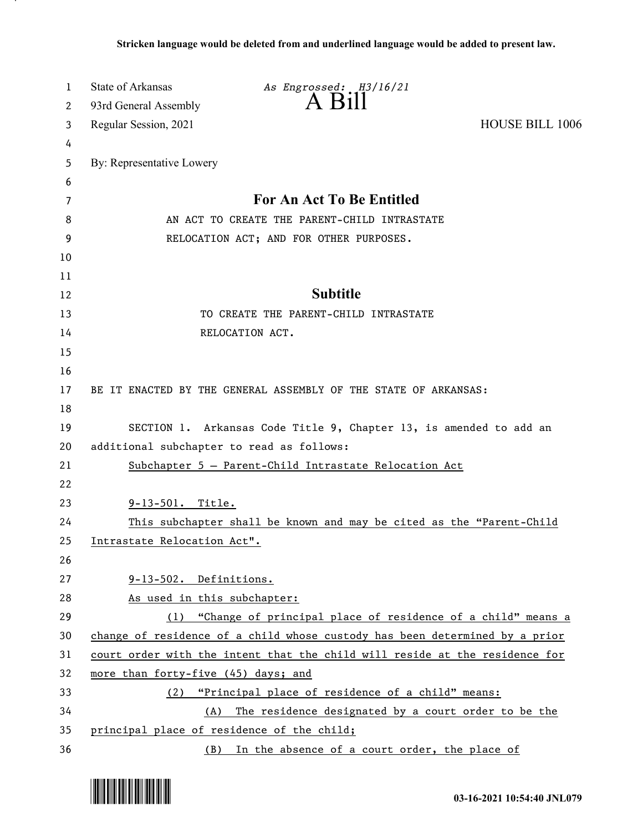| 1        | <b>State of Arkansas</b>                   | As Engrossed: H3/16/21                                                      |                        |
|----------|--------------------------------------------|-----------------------------------------------------------------------------|------------------------|
| 2        | 93rd General Assembly                      | $A$ $B1II$                                                                  |                        |
| 3        | Regular Session, 2021                      |                                                                             | <b>HOUSE BILL 1006</b> |
| 4        |                                            |                                                                             |                        |
| 5        | By: Representative Lowery                  |                                                                             |                        |
| 6        |                                            |                                                                             |                        |
| 7        |                                            | <b>For An Act To Be Entitled</b>                                            |                        |
| 8        |                                            | AN ACT TO CREATE THE PARENT-CHILD INTRASTATE                                |                        |
| 9        |                                            | RELOCATION ACT; AND FOR OTHER PURPOSES.                                     |                        |
| 10       |                                            |                                                                             |                        |
| 11       |                                            |                                                                             |                        |
| 12       |                                            | <b>Subtitle</b>                                                             |                        |
| 13       |                                            | TO CREATE THE PARENT-CHILD INTRASTATE                                       |                        |
| 14       |                                            | RELOCATION ACT.                                                             |                        |
| 15       |                                            |                                                                             |                        |
| 16       |                                            |                                                                             |                        |
| 17       |                                            | BE IT ENACTED BY THE GENERAL ASSEMBLY OF THE STATE OF ARKANSAS:             |                        |
| 18       |                                            |                                                                             |                        |
| 19       |                                            | SECTION 1. Arkansas Code Title 9, Chapter 13, is amended to add an          |                        |
| 20<br>21 | additional subchapter to read as follows:  |                                                                             |                        |
| 22       |                                            | Subchapter 5 - Parent-Child Intrastate Relocation Act                       |                        |
| 23       | 9-13-501. Title.                           |                                                                             |                        |
| 24       |                                            | This subchapter shall be known and may be cited as the "Parent-Child        |                        |
| 25       | Intrastate Relocation Act".                |                                                                             |                        |
| 26       |                                            |                                                                             |                        |
| 27       | $9-13-502$ . Definitions.                  |                                                                             |                        |
| 28       | As used in this subchapter:                |                                                                             |                        |
| 29       | (1)                                        | "Change of principal place of residence of a child" means a                 |                        |
| 30       |                                            | change of residence of a child whose custody has been determined by a prior |                        |
| 31       |                                            | court order with the intent that the child will reside at the residence for |                        |
| 32       | more than forty-five (45) days; and        |                                                                             |                        |
| 33       | (2)                                        | "Principal place of residence of a child" means:                            |                        |
| 34       |                                            | (A) The residence designated by a court order to be the                     |                        |
| 35       | principal place of residence of the child; |                                                                             |                        |
| 36       |                                            | (B) In the absence of a court order, the place of                           |                        |

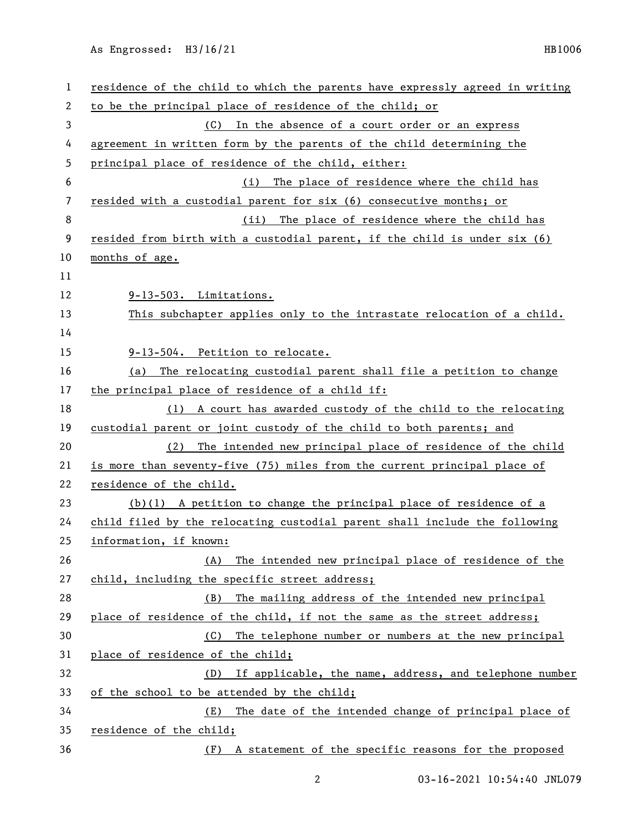As Engrossed: H3/16/21 HB1006

| 1              | residence of the child to which the parents have expressly agreed in writing |  |  |
|----------------|------------------------------------------------------------------------------|--|--|
| 2              | to be the principal place of residence of the child; or                      |  |  |
| 3              | (C) In the absence of a court order or an express                            |  |  |
| 4              | agreement in written form by the parents of the child determining the        |  |  |
| 5              | principal place of residence of the child, either:                           |  |  |
| 6              | The place of residence where the child has<br>(i)                            |  |  |
| $\overline{7}$ | resided with a custodial parent for six (6) consecutive months; or           |  |  |
| 8              | (ii) The place of residence where the child has                              |  |  |
| 9              | resided from birth with a custodial parent, if the child is under six (6)    |  |  |
| 10             | months of age.                                                               |  |  |
| 11             |                                                                              |  |  |
| 12             | 9-13-503. Limitations.                                                       |  |  |
| 13             | This subchapter applies only to the intrastate relocation of a child.        |  |  |
| 14             |                                                                              |  |  |
| 15             | 9-13-504. Petition to relocate.                                              |  |  |
| 16             | (a) The relocating custodial parent shall file a petition to change          |  |  |
| 17             | the principal place of residence of a child if:                              |  |  |
| 18             | (1) A court has awarded custody of the child to the relocating               |  |  |
| 19             | custodial parent or joint custody of the child to both parents; and          |  |  |
| 20             | (2) The intended new principal place of residence of the child               |  |  |
| 21             | is more than seventy-five (75) miles from the current principal place of     |  |  |
| 22             | residence of the child.                                                      |  |  |
| 23             | $(b)(1)$ A petition to change the principal place of residence of a          |  |  |
| 24             | child filed by the relocating custodial parent shall include the following   |  |  |
| 25             | information, if known:                                                       |  |  |
| 26             | The intended new principal place of residence of the<br>(A)                  |  |  |
| 27             | child, including the specific street address;                                |  |  |
| 28             | The mailing address of the intended new principal<br>(B)                     |  |  |
| 29             | place of residence of the child, if not the same as the street address;      |  |  |
| 30             | The telephone number or numbers at the new principal<br>(C)                  |  |  |
| 31             | place of residence of the child;                                             |  |  |
| 32             | (D) If applicable, the name, address, and telephone number                   |  |  |
| 33             | of the school to be attended by the child;                                   |  |  |
| 34             | The date of the intended change of principal place of<br>(E)                 |  |  |
| 35             | residence of the child;                                                      |  |  |
| 36             | A statement of the specific reasons for the proposed<br>(F)                  |  |  |

03-16-2021 10:54:40 JNL079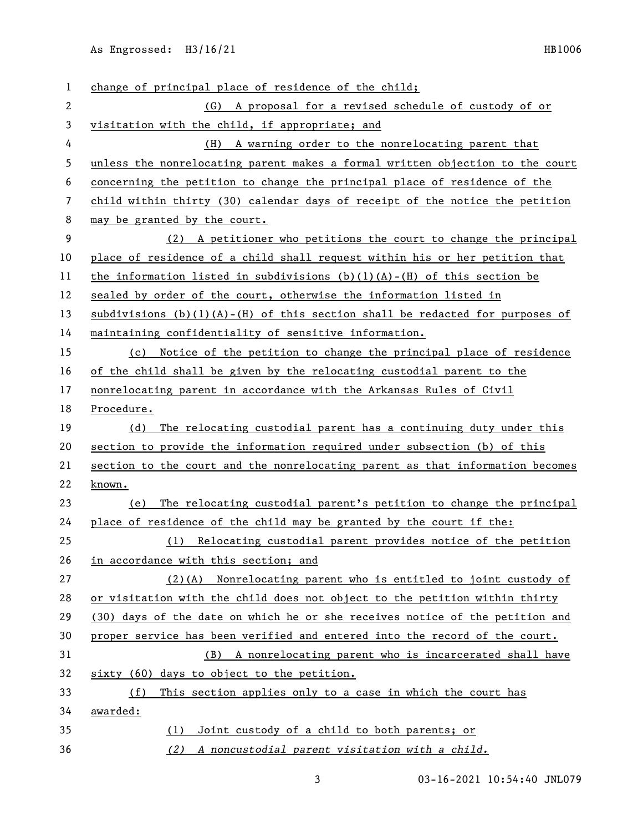As Engrossed: H3/16/21 HB1006

| 1  | change of principal place of residence of the child;                             |  |  |
|----|----------------------------------------------------------------------------------|--|--|
| 2  | (G) A proposal for a revised schedule of custody of or                           |  |  |
| 3  | visitation with the child, if appropriate; and                                   |  |  |
| 4  | A warning order to the nonrelocating parent that<br>(H)                          |  |  |
| 5  | unless the nonrelocating parent makes a formal written objection to the court    |  |  |
| 6  | concerning the petition to change the principal place of residence of the        |  |  |
| 7  | child within thirty (30) calendar days of receipt of the notice the petition     |  |  |
| 8  | may be granted by the court.                                                     |  |  |
| 9  | (2) A petitioner who petitions the court to change the principal                 |  |  |
| 10 | place of residence of a child shall request within his or her petition that      |  |  |
| 11 | the information listed in subdivisions $(b)(1)(A) - (H)$ of this section be      |  |  |
| 12 | sealed by order of the court, otherwise the information listed in                |  |  |
| 13 | subdivisions $(b)(1)(A) - (H)$ of this section shall be redacted for purposes of |  |  |
| 14 | maintaining confidentiality of sensitive information.                            |  |  |
| 15 | (c) Notice of the petition to change the principal place of residence            |  |  |
| 16 | of the child shall be given by the relocating custodial parent to the            |  |  |
| 17 | nonrelocating parent in accordance with the Arkansas Rules of Civil              |  |  |
| 18 | Procedure.                                                                       |  |  |
| 19 | The relocating custodial parent has a continuing duty under this<br>(d)          |  |  |
| 20 | section to provide the information required under subsection (b) of this         |  |  |
| 21 | section to the court and the nonrelocating parent as that information becomes    |  |  |
| 22 | known.                                                                           |  |  |
| 23 | The relocating custodial parent's petition to change the principal<br>(e)        |  |  |
| 24 | place of residence of the child may be granted by the court if the:              |  |  |
| 25 | (1) Relocating custodial parent provides notice of the petition                  |  |  |
| 26 | in accordance with this section; and                                             |  |  |
| 27 | (2)(A) Nonrelocating parent who is entitled to joint custody of                  |  |  |
| 28 | or visitation with the child does not object to the petition within thirty       |  |  |
| 29 | (30) days of the date on which he or she receives notice of the petition and     |  |  |
| 30 | proper service has been verified and entered into the record of the court.       |  |  |
| 31 | (B) A nonrelocating parent who is incarcerated shall have                        |  |  |
| 32 | sixty (60) days to object to the petition.                                       |  |  |
| 33 | This section applies only to a case in which the court has<br>(f)                |  |  |
| 34 | awarded:                                                                         |  |  |
| 35 | Joint custody of a child to both parents; or<br>(1)                              |  |  |
| 36 | (2) A noncustodial parent visitation with a child.                               |  |  |

3 03-16-2021 10:54:40 JNL079